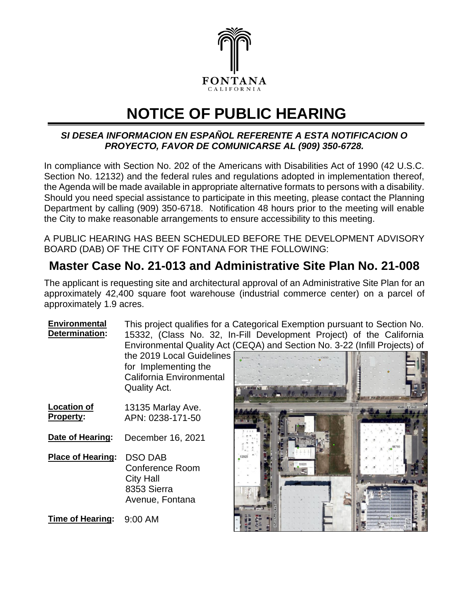

## **NOTICE OF PUBLIC HEARING**

## *SI DESEA INFORMACION EN ESPAÑOL REFERENTE A ESTA NOTIFICACION O PROYECTO, FAVOR DE COMUNICARSE AL (909) 350-6728.*

In compliance with Section No. 202 of the Americans with Disabilities Act of 1990 (42 U.S.C. Section No. 12132) and the federal rules and regulations adopted in implementation thereof, the Agenda will be made available in appropriate alternative formats to persons with a disability. Should you need special assistance to participate in this meeting, please contact the Planning Department by calling (909) 350-6718. Notification 48 hours prior to the meeting will enable the City to make reasonable arrangements to ensure accessibility to this meeting.

A PUBLIC HEARING HAS BEEN SCHEDULED BEFORE THE DEVELOPMENT ADVISORY BOARD (DAB) OF THE CITY OF FONTANA FOR THE FOLLOWING:

## **Master Case No. 21-013 and Administrative Site Plan No. 21-008**

The applicant is requesting site and architectural approval of an Administrative Site Plan for an approximately 42,400 square foot warehouse (industrial commerce center) on a parcel of approximately 1.9 acres.

**Environmental Determination:** This project qualifies for a Categorical Exemption pursuant to Section No. 15332, (Class No. 32, In-Fill Development Project) of the California Environmental Quality Act (CEQA) and Section No. 3-22 (Infill Projects) of the 2019 Local Guidelines for Implementing the California Environmental Quality Act.

- **Location of Property:** 13135 Marlay Ave. APN: 0238-171-50 **Date of Hearing:** December 16, 2021
- **Place of Hearing:** DSO DAB Conference Room City Hall 8353 Sierra Avenue, Fontana

**Time of Hearing:** 9:00 AM